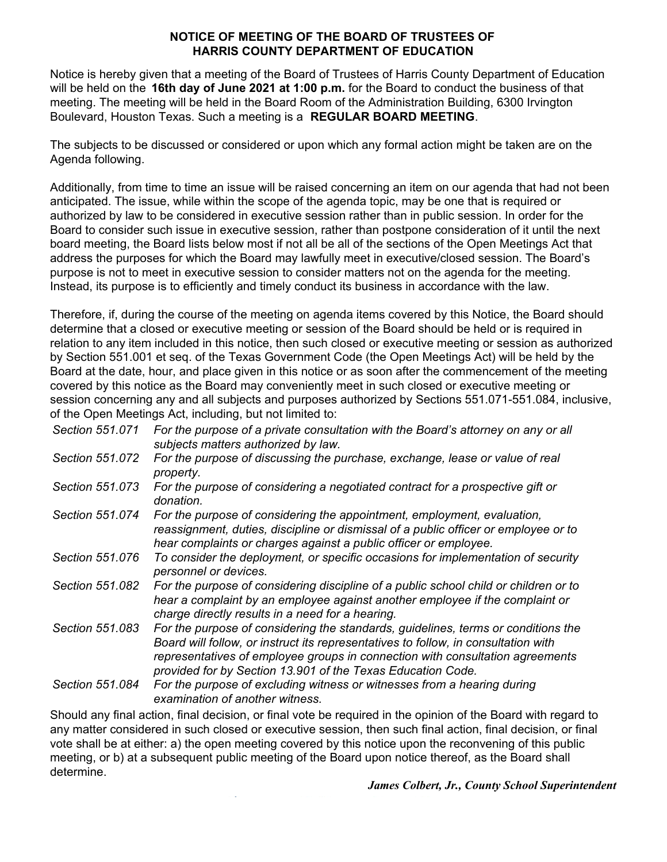## **NOTICE OF MEETING OF THE BOARD OF TRUSTEES OF HARRIS COUNTY DEPARTMENT OF EDUCATION**

Notice is hereby given that a meeting of the Board of Trustees of Harris County Department of Education will be held on the **16th day of June 2021 at 1:00 p.m.** for the Board to conduct the business of that meeting. The meeting will be held in the Board Room of the Administration Building, 6300 Irvington Boulevard, Houston Texas. Such a meeting is a **REGULAR BOARD MEETING**.

The subjects to be discussed or considered or upon which any formal action might be taken are on the Agenda following.

Additionally, from time to time an issue will be raised concerning an item on our agenda that had not been anticipated. The issue, while within the scope of the agenda topic, may be one that is required or authorized by law to be considered in executive session rather than in public session. In order for the Board to consider such issue in executive session, rather than postpone consideration of it until the next board meeting, the Board lists below most if not all be all of the sections of the Open Meetings Act that address the purposes for which the Board may lawfully meet in executive/closed session. The Board's purpose is not to meet in executive session to consider matters not on the agenda for the meeting. Instead, its purpose is to efficiently and timely conduct its business in accordance with the law.

Therefore, if, during the course of the meeting on agenda items covered by this Notice, the Board should determine that a closed or executive meeting or session of the Board should be held or is required in relation to any item included in this notice, then such closed or executive meeting or session as authorized by Section 551.001 et seq. of the Texas Government Code (the Open Meetings Act) will be held by the Board at the date, hour, and place given in this notice or as soon after the commencement of the meeting covered by this notice as the Board may conveniently meet in such closed or executive meeting or session concerning any and all subjects and purposes authorized by Sections 551.071-551.084, inclusive, of the Open Meetings Act, including, but not limited to:

- *Section 551.071 For the purpose of a private consultation with the Board's attorney on any or all subjects matters authorized by law.*
- *Section 551.072 For the purpose of discussing the purchase, exchange, lease or value of real property.*
- *Section 551.073 For the purpose of considering a negotiated contract for a prospective gift or donation.*
- *Section 551.074 For the purpose of considering the appointment, employment, evaluation, reassignment, duties, discipline or dismissal of a public officer or employee or to hear complaints or charges against a public officer or employee.*
- *Section 551.076 To consider the deployment, or specific occasions for implementation of security personnel or devices.*
- *Section 551.082 For the purpose of considering discipline of a public school child or children or to hear a complaint by an employee against another employee if the complaint or charge directly results in a need for a hearing.*
- *Section 551.083 For the purpose of considering the standards, guidelines, terms or conditions the Board will follow, or instruct its representatives to follow, in consultation with representatives of employee groups in connection with consultation agreements provided for by Section 13.901 of the Texas Education Code.*

*Section 551.084 For the purpose of excluding witness or witnesses from a hearing during examination of another witness.*

Should any final action, final decision, or final vote be required in the opinion of the Board with regard to any matter considered in such closed or executive session, then such final action, final decision, or final vote shall be at either: a) the open meeting covered by this notice upon the reconvening of this public meeting, or b) at a subsequent public meeting of the Board upon notice thereof, as the Board shall determine.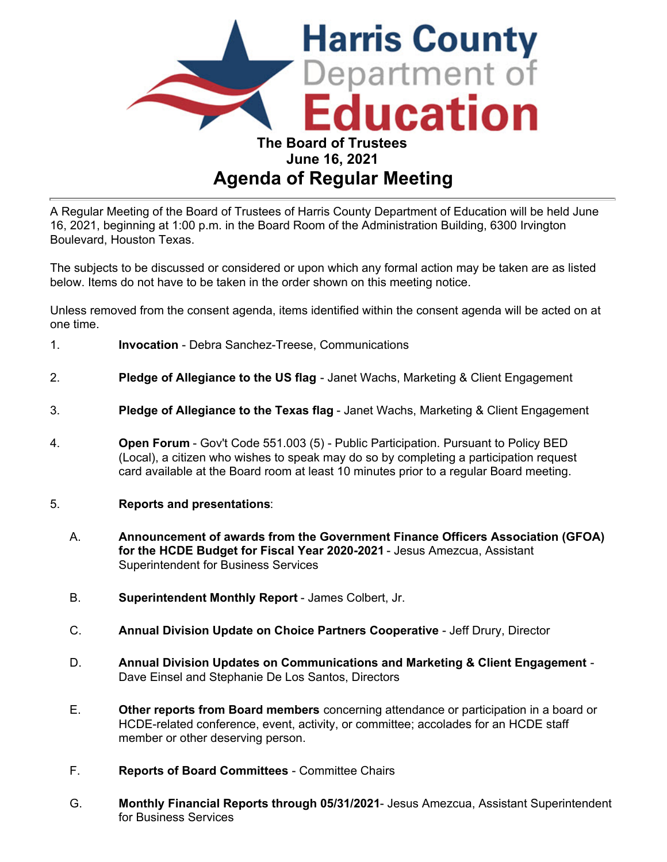

A Regular Meeting of the Board of Trustees of Harris County Department of Education will be held June 16, 2021, beginning at 1:00 p.m. in the Board Room of the Administration Building, 6300 Irvington Boulevard, Houston Texas.

The subjects to be discussed or considered or upon which any formal action may be taken are as listed below. Items do not have to be taken in the order shown on this meeting notice.

Unless removed from the consent agenda, items identified within the consent agenda will be acted on at one time.

- 1. **Invocation** Debra Sanchez-Treese, Communications
- 2. **Pledge of Allegiance to the US flag** Janet Wachs, Marketing & Client Engagement
- 3. **Pledge of Allegiance to the Texas flag** Janet Wachs, Marketing & Client Engagement
- 4. **Open Forum** Gov't Code 551.003 (5) Public Participation. Pursuant to Policy BED (Local), a citizen who wishes to speak may do so by completing a participation request card available at the Board room at least 10 minutes prior to a regular Board meeting.
- 5. **Reports and presentations**:
	- A. **Announcement of awards from the Government Finance Officers Association (GFOA) for the HCDE Budget for Fiscal Year 2020-2021** - Jesus Amezcua, Assistant Superintendent for Business Services
	- B. **Superintendent Monthly Report** James Colbert, Jr.
	- C. **Annual Division Update on Choice Partners Cooperative** Jeff Drury, Director
	- D. **Annual Division Updates on Communications and Marketing & Client Engagement**  Dave Einsel and Stephanie De Los Santos, Directors
	- E. **Other reports from Board members** concerning attendance or participation in a board or HCDE-related conference, event, activity, or committee; accolades for an HCDE staff member or other deserving person.
	- F. **Reports of Board Committees** Committee Chairs
	- G. **Monthly Financial Reports through 05/31/2021** Jesus Amezcua, Assistant Superintendent for Business Services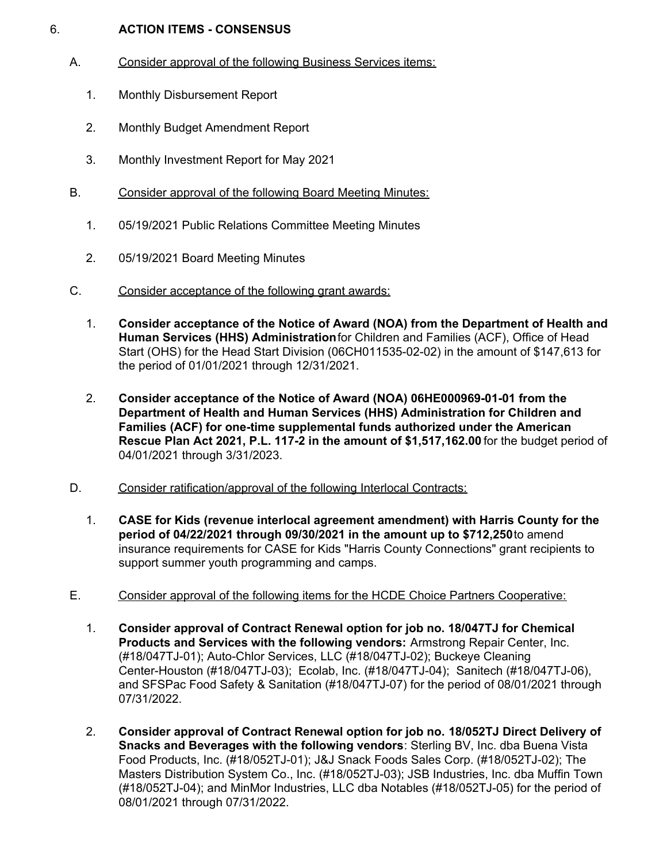## 6. **ACTION ITEMS - CONSENSUS**

- A. Consider approval of the following Business Services items:
	- 1. Monthly Disbursement Report
	- 2. Monthly Budget Amendment Report
	- 3. Monthly Investment Report for May 2021
- B. Consider approval of the following Board Meeting Minutes:
	- 1. 05/19/2021 Public Relations Committee Meeting Minutes
	- 2. 05/19/2021 Board Meeting Minutes
- C. Consider acceptance of the following grant awards:
	- 1. **Consider acceptance of the Notice of Award (NOA) from the Department of Health and Human Services (HHS) Administration**for Children and Families (ACF), Office of Head Start (OHS) for the Head Start Division (06CH011535-02-02) in the amount of \$147,613 for the period of 01/01/2021 through 12/31/2021.
	- **Families (ACF) for one-time supplemental funds authorized under the American** 2. **Consider acceptance of the Notice of Award (NOA) 06HE000969-01-01 from the Department of Health and Human Services (HHS) Administration for Children and Rescue Plan Act 2021, P.L. 117-2 in the amount of \$[1,517,162.00](https://1,517,162.00)** for the budget period of 04/01/2021 through 3/31/2023.
- D. Consider ratification/approval of the following Interlocal Contracts:
	- 1. **CASE for Kids (revenue interlocal agreement amendment) with Harris County for the period of 04/22/2021 through 09/30/2021 in the amount up to \$712,250**to amend insurance requirements for CASE for Kids "Harris County Connections" grant recipients to support summer youth programming and camps.
- E. Consider approval of the following items for the HCDE Choice Partners Cooperative:
	- 1. **Consider approval of Contract Renewal option for job no. 18/047TJ for Chemical Products and Services with the following vendors:** Armstrong Repair Center, Inc. (#18/047TJ-01); Auto-Chlor Services, LLC (#18/047TJ-02); Buckeye Cleaning Center-Houston (#18/047TJ-03); Ecolab, Inc. (#18/047TJ-04); Sanitech (#18/047TJ-06), and SFSPac Food Safety & Sanitation (#18/047TJ-07) for the period of 08/01/2021 through 07/31/2022.
	- 2. **Consider approval of Contract Renewal option for job no. 18/052TJ Direct Delivery of Snacks and Beverages with the following vendors**: Sterling BV, Inc. dba Buena Vista Food Products, Inc. (#18/052TJ-01); J&J Snack Foods Sales Corp. (#18/052TJ-02); The Masters Distribution System Co., Inc. (#18/052TJ-03); JSB Industries, Inc. dba Muffin Town (#18/052TJ-04); and MinMor Industries, LLC dba Notables (#18/052TJ-05) for the period of 08/01/2021 through 07/31/2022.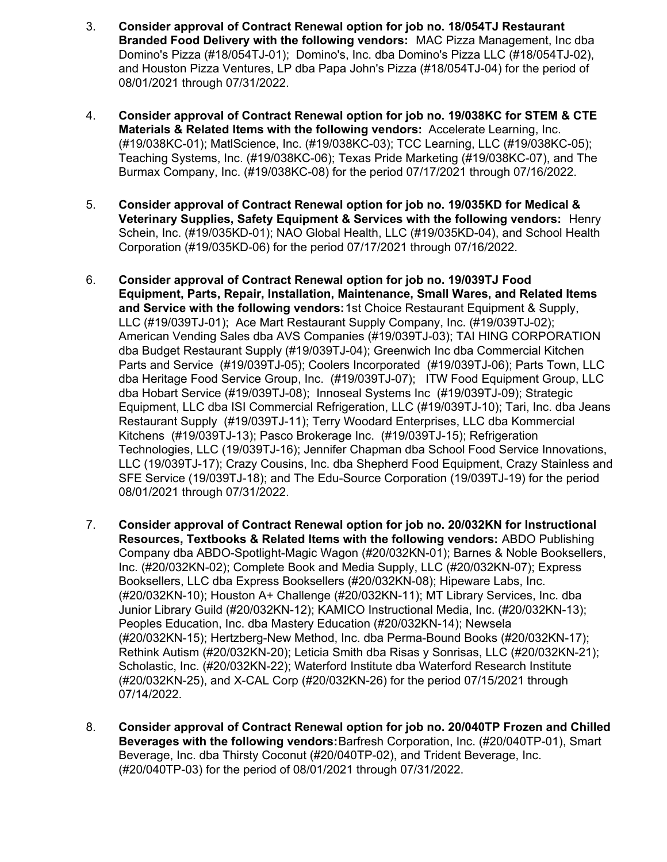- 3. **Consider approval of Contract Renewal option for job no. 18/054TJ Restaurant Branded Food Delivery with the following vendors:** MAC Pizza Management, Inc dba Domino's Pizza (#18/054TJ-01); Domino's, Inc. dba Domino's Pizza LLC (#18/054TJ-02), and Houston Pizza Ventures, LP dba Papa John's Pizza (#18/054TJ-04) for the period of 08/01/2021 through 07/31/2022.
- 4. **Consider approval of Contract Renewal option for job no. 19/038KC for STEM & CTE Materials & Related Items with the following vendors:** Accelerate Learning, Inc. (#19/038KC-01); MatlScience, Inc. (#19/038KC-03); TCC Learning, LLC (#19/038KC-05); Teaching Systems, Inc. (#19/038KC-06); Texas Pride Marketing (#19/038KC-07), and The Burmax Company, Inc. (#19/038KC-08) for the period 07/17/2021 through 07/16/2022.
- 5. **Consider approval of Contract Renewal option for job no. 19/035KD for Medical & Veterinary Supplies, Safety Equipment & Services with the following vendors:** Henry Schein, Inc. (#19/035KD-01); NAO Global Health, LLC (#19/035KD-04), and School Health Corporation (#19/035KD-06) for the period 07/17/2021 through 07/16/2022.
- 6. **Consider approval of Contract Renewal option for job no. 19/039TJ Food Equipment, Parts, Repair, Installation, Maintenance, Small Wares, and Related Items and Service with the following vendors:**1st Choice Restaurant Equipment & Supply, LLC (#19/039TJ-01); Ace Mart Restaurant Supply Company, Inc. (#19/039TJ-02); American Vending Sales dba AVS Companies (#19/039TJ-03); TAI HING CORPORATION dba Budget Restaurant Supply (#19/039TJ-04); Greenwich Inc dba Commercial Kitchen Parts and Service (#19/039TJ-05); Coolers Incorporated (#19/039TJ-06); Parts Town, LLC dba Heritage Food Service Group, Inc. (#19/039TJ-07); ITW Food Equipment Group, LLC dba Hobart Service (#19/039TJ-08); Innoseal Systems Inc (#19/039TJ-09); Strategic Equipment, LLC dba ISI Commercial Refrigeration, LLC (#19/039TJ-10); Tari, Inc. dba Jeans Restaurant Supply (#19/039TJ-11); Terry Woodard Enterprises, LLC dba Kommercial Kitchens (#19/039TJ-13); Pasco Brokerage Inc. (#19/039TJ-15); Refrigeration Technologies, LLC (19/039TJ-16); Jennifer Chapman dba School Food Service Innovations, LLC (19/039TJ-17); Crazy Cousins, Inc. dba Shepherd Food Equipment, Crazy Stainless and SFE Service (19/039TJ-18); and The Edu-Source Corporation (19/039TJ-19) for the period 08/01/2021 through 07/31/2022.
- 7. **Consider approval of Contract Renewal option for job no. 20/032KN for Instructional Resources, Textbooks & Related Items with the following vendors:** ABDO Publishing Company dba ABDO-Spotlight-Magic Wagon (#20/032KN-01); Barnes & Noble Booksellers, Inc. (#20/032KN-02); Complete Book and Media Supply, LLC (#20/032KN-07); Express Booksellers, LLC dba Express Booksellers (#20/032KN-08); Hipeware Labs, Inc. (#20/032KN-10); Houston A+ Challenge (#20/032KN-11); MT Library Services, Inc. dba Junior Library Guild (#20/032KN-12); KAMICO Instructional Media, Inc. (#20/032KN-13); Peoples Education, Inc. dba Mastery Education (#20/032KN-14); Newsela (#20/032KN-15); Hertzberg-New Method, Inc. dba Perma-Bound Books (#20/032KN-17); Rethink Autism (#20/032KN-20); Leticia Smith dba Risas y Sonrisas, LLC (#20/032KN-21); Scholastic, Inc. (#20/032KN-22); Waterford Institute dba Waterford Research Institute (#20/032KN-25), and X-CAL Corp (#20/032KN-26) for the period 07/15/2021 through 07/14/2022.
- 8. **Consider approval of Contract Renewal option for job no. 20/040TP Frozen and Chilled Beverages with the following vendors:**Barfresh Corporation, Inc. (#20/040TP-01), Smart Beverage, Inc. dba Thirsty Coconut (#20/040TP-02), and Trident Beverage, Inc. (#20/040TP-03) for the period of 08/01/2021 through 07/31/2022.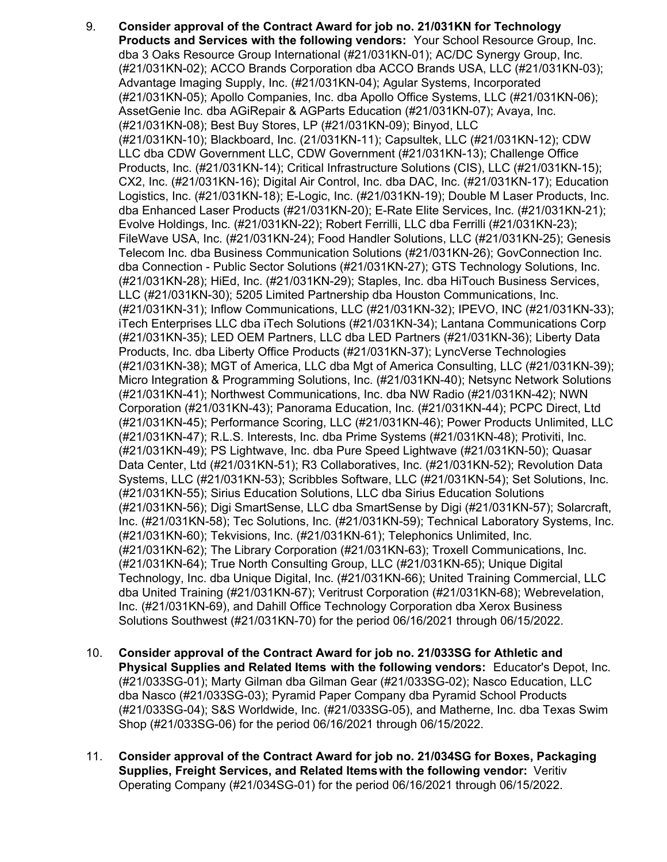- 9. **Consider approval of the Contract Award for job no. 21/031KN for Technology Products and Services with the following vendors:** Your School Resource Group, Inc. dba 3 Oaks Resource Group International (#21/031KN-01); AC/DC Synergy Group, Inc. (#21/031KN-02); ACCO Brands Corporation dba ACCO Brands USA, LLC (#21/031KN-03); Advantage Imaging Supply, Inc. (#21/031KN-04); Agular Systems, Incorporated (#21/031KN-05); Apollo Companies, Inc. dba Apollo Office Systems, LLC (#21/031KN-06); AssetGenie Inc. dba AGiRepair & AGParts Education (#21/031KN-07); Avaya, Inc. (#21/031KN-08); Best Buy Stores, LP (#21/031KN-09); Binyod, LLC (#21/031KN-10); Blackboard, Inc. (21/031KN-11); Capsultek, LLC (#21/031KN-12); CDW LLC dba CDW Government LLC, CDW Government (#21/031KN-13); Challenge Office Products, Inc. (#21/031KN-14); Critical Infrastructure Solutions (CIS), LLC (#21/031KN-15); CX2, Inc. (#21/031KN-16); Digital Air Control, Inc. dba DAC, Inc. (#21/031KN-17); Education Logistics, Inc. (#21/031KN-18); E-Logic, Inc. (#21/031KN-19); Double M Laser Products, Inc. dba Enhanced Laser Products (#21/031KN-20); E-Rate Elite Services, Inc. (#21/031KN-21); Evolve Holdings, Inc. (#21/031KN-22); Robert Ferrilli, LLC dba Ferrilli (#21/031KN-23); FileWave USA, Inc. (#21/031KN-24); Food Handler Solutions, LLC (#21/031KN-25); Genesis Telecom Inc. dba Business Communication Solutions (#21/031KN-26); GovConnection Inc. dba Connection - Public Sector Solutions (#21/031KN-27); GTS Technology Solutions, Inc. (#21/031KN-28); HiEd, Inc. (#21/031KN-29); Staples, Inc. dba HiTouch Business Services, LLC (#21/031KN-30); 5205 Limited Partnership dba Houston Communications, Inc. (#21/031KN-31); Inflow Communications, LLC (#21/031KN-32); IPEVO, INC (#21/031KN-33); iTech Enterprises LLC dba iTech Solutions (#21/031KN-34); Lantana Communications Corp (#21/031KN-35); LED OEM Partners, LLC dba LED Partners (#21/031KN-36); Liberty Data Products, Inc. dba Liberty Office Products (#21/031KN-37); LyncVerse Technologies (#21/031KN-38); MGT of America, LLC dba Mgt of America Consulting, LLC (#21/031KN-39); Micro Integration & Programming Solutions, Inc. (#21/031KN-40); Netsync Network Solutions (#21/031KN-41); Northwest Communications, Inc. dba NW Radio (#21/031KN-42); NWN Corporation (#21/031KN-43); Panorama Education, Inc. (#21/031KN-44); PCPC Direct, Ltd (#21/031KN-45); Performance Scoring, LLC (#21/031KN-46); Power Products Unlimited, LLC (#21/031KN-47); R.L.S. Interests, Inc. dba Prime Systems (#21/031KN-48); Protiviti, Inc. (#21/031KN-49); PS Lightwave, Inc. dba Pure Speed Lightwave (#21/031KN-50); Quasar Data Center, Ltd (#21/031KN-51); R3 Collaboratives, Inc. (#21/031KN-52); Revolution Data Systems, LLC (#21/031KN-53); Scribbles Software, LLC (#21/031KN-54); Set Solutions, Inc. (#21/031KN-55); Sirius Education Solutions, LLC dba Sirius Education Solutions (#21/031KN-56); Digi SmartSense, LLC dba SmartSense by Digi (#21/031KN-57); Solarcraft, Inc. (#21/031KN-58); Tec Solutions, Inc. (#21/031KN-59); Technical Laboratory Systems, Inc. (#21/031KN-60); Tekvisions, Inc. (#21/031KN-61); Telephonics Unlimited, Inc. (#21/031KN-62); The Library Corporation (#21/031KN-63); Troxell Communications, Inc. (#21/031KN-64); True North Consulting Group, LLC (#21/031KN-65); Unique Digital Technology, Inc. dba Unique Digital, Inc. (#21/031KN-66); United Training Commercial, LLC dba United Training (#21/031KN-67); Veritrust Corporation (#21/031KN-68); Webrevelation, Inc. (#21/031KN-69), and Dahill Office Technology Corporation dba Xerox Business Solutions Southwest (#21/031KN-70) for the period 06/16/2021 through 06/15/2022.
- 10. **Consider approval of the Contract Award for job no. 21/033SG for Athletic and Physical Supplies and Related Items with the following vendors:** Educator's Depot, Inc. (#21/033SG-01); Marty Gilman dba Gilman Gear (#21/033SG-02); Nasco Education, LLC dba Nasco (#21/033SG-03); Pyramid Paper Company dba Pyramid School Products (#21/033SG-04); S&S Worldwide, Inc. (#21/033SG-05), and Matherne, Inc. dba Texas Swim Shop (#21/033SG-06) for the period 06/16/2021 through 06/15/2022.
- 11. **Consider approval of the Contract Award for job no. 21/034SG for Boxes, Packaging Supplies, Freight Services, and Related Items with the following vendor:** Veritiv Operating Company (#21/034SG-01) for the period 06/16/2021 through 06/15/2022.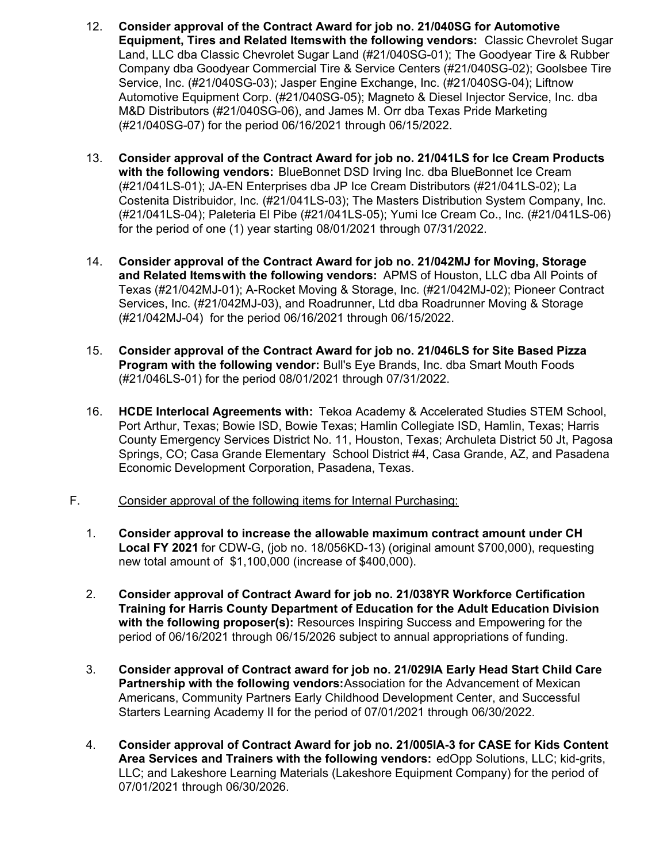- 12. **Consider approval of the Contract Award for job no. 21/040SG for Automotive Equipment, Tires and Related Items with the following vendors:** Classic Chevrolet Sugar Land, LLC dba Classic Chevrolet Sugar Land (#21/040SG-01); The Goodyear Tire & Rubber Company dba Goodyear Commercial Tire & Service Centers (#21/040SG-02); Goolsbee Tire Service, Inc. (#21/040SG-03); Jasper Engine Exchange, Inc. (#21/040SG-04); Liftnow Automotive Equipment Corp. (#21/040SG-05); Magneto & Diesel Injector Service, Inc. dba M&D Distributors (#21/040SG-06), and James M. Orr dba Texas Pride Marketing (#21/040SG-07) for the period 06/16/2021 through 06/15/2022.
- 13. **Consider approval of the Contract Award for job no. 21/041LS for Ice Cream Products with the following vendors:** BlueBonnet DSD Irving Inc. dba BlueBonnet Ice Cream (#21/041LS-01); JA-EN Enterprises dba JP Ice Cream Distributors (#21/041LS-02); La Costenita Distribuidor, Inc. (#21/041LS-03); The Masters Distribution System Company, Inc. (#21/041LS-04); Paleteria El Pibe (#21/041LS-05); Yumi Ice Cream Co., Inc. (#21/041LS-06) for the period of one (1) year starting 08/01/2021 through 07/31/2022.
- 14. **Consider approval of the Contract Award for job no. 21/042MJ for Moving, Storage and Related Items with the following vendors:** APMS of Houston, LLC dba All Points of Texas (#21/042MJ-01); A-Rocket Moving & Storage, Inc. (#21/042MJ-02); Pioneer Contract Services, Inc. (#21/042MJ-03), and Roadrunner, Ltd dba Roadrunner Moving & Storage (#21/042MJ-04) for the period 06/16/2021 through 06/15/2022.
- 15. **Consider approval of the Contract Award for job no. 21/046LS for Site Based Pizza Program with the following vendor:** Bull's Eye Brands, Inc. dba Smart Mouth Foods (#21/046LS-01) for the period 08/01/2021 through 07/31/2022.
- 16. **HCDE Interlocal Agreements with:** Tekoa Academy & Accelerated Studies STEM School, Port Arthur, Texas; Bowie ISD, Bowie Texas; Hamlin Collegiate ISD, Hamlin, Texas; Harris County Emergency Services District No. 11, Houston, Texas; Archuleta District 50 Jt, Pagosa Springs, CO; Casa Grande Elementary School District #4, Casa Grande, AZ, and Pasadena Economic Development Corporation, Pasadena, Texas.
- F. Consider approval of the following items for Internal Purchasing:
	- 1. **Consider approval to increase the allowable maximum contract amount under CH Local FY 2021** for CDW-G, (job no. 18/056KD-13) (original amount \$700,000), requesting new total amount of \$1,100,000 (increase of \$400,000).
	- 2. **Consider approval of Contract Award for job no. 21/038YR Workforce Certification Training for Harris County Department of Education for the Adult Education Division with the following proposer(s):** Resources Inspiring Success and Empowering for the period of 06/16/2021 through 06/15/2026 subject to annual appropriations of funding.
	- 3. **Consider approval of Contract award for job no. 21/029IA Early Head Start Child Care Partnership with the following vendors:**Association for the Advancement of Mexican Americans, Community Partners Early Childhood Development Center, and Successful Starters Learning Academy II for the period of 07/01/2021 through 06/30/2022.
	- 4. **Consider approval of Contract Award for job no. 21/005IA-3 for CASE for Kids Content Area Services and Trainers with the following vendors:** edOpp Solutions, LLC; kid-grits, LLC; and Lakeshore Learning Materials (Lakeshore Equipment Company) for the period of 07/01/2021 through 06/30/2026.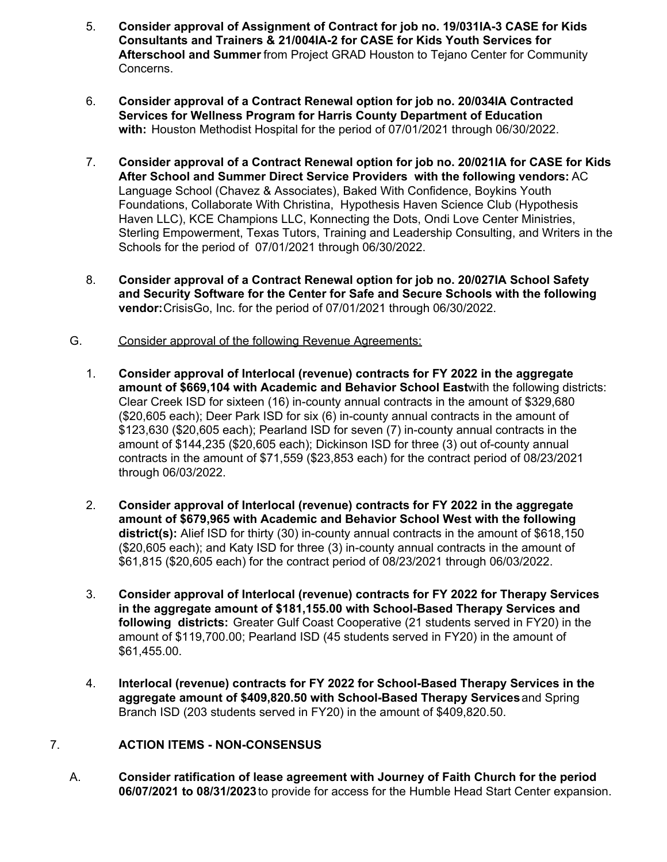- 5. **Consider approval of Assignment of Contract for job no. 19/031IA-3 CASE for Kids Consultants and Trainers & 21/004IA-2 for CASE for Kids Youth Services for Afterschool and Summer** from Project GRAD Houston to Tejano Center for Community Concerns.
- 6. **Consider approval of a Contract Renewal option for job no. 20/034IA Contracted Services for Wellness Program for Harris County Department of Education with:** Houston Methodist Hospital for the period of 07/01/2021 through 06/30/2022.
- 7. **Consider approval of a Contract Renewal option for job no. 20/021IA for CASE for Kids After School and Summer Direct Service Providers with the following vendors:** AC Language School (Chavez & Associates), Baked With Confidence, Boykins Youth Foundations, Collaborate With Christina, Hypothesis Haven Science Club (Hypothesis Haven LLC), KCE Champions LLC, Konnecting the Dots, Ondi Love Center Ministries, Sterling Empowerment, Texas Tutors, Training and Leadership Consulting, and Writers in the Schools for the period of 07/01/2021 through 06/30/2022.
- 8. **Consider approval of a Contract Renewal option for job no. 20/027IA School Safety and Security Software for the Center for Safe and Secure Schools with the following vendor:**CrisisGo, Inc. for the period of 07/01/2021 through 06/30/2022.
- G. Consider approval of the following Revenue Agreements:
	- 1. **Consider approval of Interlocal (revenue) contracts for FY 2022 in the aggregate amount of \$669,104 with Academic and Behavior School East**with the following districts: Clear Creek ISD for sixteen (16) in-county annual contracts in the amount of \$329,680 (\$20,605 each); Deer Park ISD for six (6) in-county annual contracts in the amount of \$123,630 (\$20,605 each); Pearland ISD for seven (7) in-county annual contracts in the amount of \$144,235 (\$20,605 each); Dickinson ISD for three (3) out of-county annual contracts in the amount of \$71,559 (\$23,853 each) for the contract period of 08/23/2021 through 06/03/2022.
	- 2. **Consider approval of Interlocal (revenue) contracts for FY 2022 in the aggregate amount of \$679,965 with Academic and Behavior School West with the following district(s):** Alief ISD for thirty (30) in-county annual contracts in the amount of \$618,150 (\$20,605 each); and Katy ISD for three (3) in-county annual contracts in the amount of \$61,815 (\$20,605 each) for the contract period of 08/23/2021 through 06/03/2022.
	- 3. **Consider approval of Interlocal (revenue) contracts for FY 2022 for Therapy Services in the aggregate amount of [\\$181,155.00](https://181,155.00) with School-Based Therapy Services and following districts:** Greater Gulf Coast Cooperative (21 students served in FY20) in the amount of [\\$119,700.00](https://119,700.00); Pearland ISD (45 students served in FY20) in the amount of [\\$61,455.00](https://61,455.00).
	- 4. **Interlocal (revenue) contracts for FY 2022 for School-Based Therapy Services in the aggregate amount of \$[409,820.50](https://409,820.50) with School-Based Therapy Services** and Spring Branch ISD (203 students served in FY20) in the amount of \$[409,820.50.](https://409,820.50)

## 7. **ACTION ITEMS - NON-CONSENSUS**

A. **Consider ratification of lease agreement with Journey of Faith Church for the period 06/07/2021 to 08/31/2023** to provide for access for the Humble Head Start Center expansion.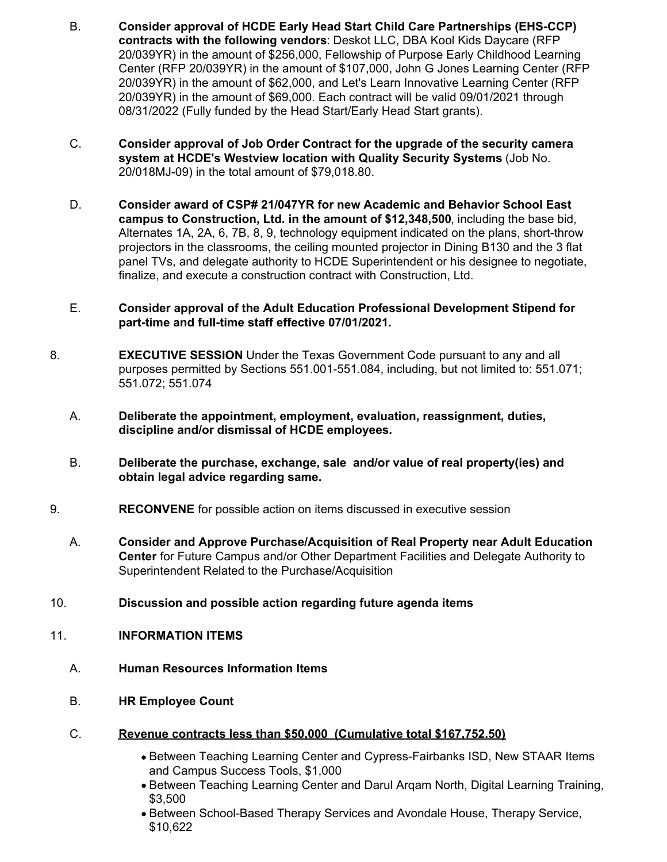- B. **Consider approval of HCDE Early Head Start Child Care Partnerships (EHS-CCP) contracts with the following vendors**: Deskot LLC, DBA Kool Kids Daycare (RFP 20/039YR) in the amount of \$256,000, Fellowship of Purpose Early Childhood Learning Center (RFP 20/039YR) in the amount of \$107,000, John G Jones Learning Center (RFP 20/039YR) in the amount of \$62,000, and Let's Learn Innovative Learning Center (RFP 20/039YR) in the amount of \$69,000. Each contract will be valid 09/01/2021 through 08/31/2022 (Fully funded by the Head Start/Early Head Start grants).
- C. **Consider approval of Job Order Contract for the upgrade of the security camera system at HCDE's Westview location with Quality Security Systems** (Job No. 20/018MJ-09) in the total amount of \$[79,018.80.](https://79,018.80)
- D. **Consider award of CSP# 21/047YR for new Academic and Behavior School East campus to Construction, Ltd. in the amount of \$12,348,500**, including the base bid, Alternates 1A, 2A, 6, 7B, 8, 9, technology equipment indicated on the plans, short-throw projectors in the classrooms, the ceiling mounted projector in Dining B130 and the 3 flat panel TVs, and delegate authority to HCDE Superintendent or his designee to negotiate, finalize, and execute a construction contract with Construction, Ltd.

## E. **Consider approval of the Adult Education Professional Development Stipend for part-time and full-time staff effective 07/01/2021.**

- 8. **EXECUTIVE SESSION** Under the Texas Government Code pursuant to any and all purposes permitted by Sections 551.001-551.084, including, but not limited to: 551.071; 551.072; 551.074
	- A. **Deliberate the appointment, employment, evaluation, reassignment, duties, discipline and/or dismissal of HCDE employees.**
	- B. **Deliberate the purchase, exchange, sale and/or value of real property(ies) and obtain legal advice regarding same.**
- 9. **RECONVENE** for possible action on items discussed in executive session
	- A. **Consider and Approve Purchase/Acquisition of Real Property near Adult Education Center** for Future Campus and/or Other Department Facilities and Delegate Authority to Superintendent Related to the Purchase/Acquisition
- 10. **Discussion and possible action regarding future agenda items**
- 11. **INFORMATION ITEMS**
	- A. **Human Resources Information Items**
	- B. **HR Employee Count**
	- C. **Revenue contracts less than \$50,000 (Cumulative total [\\$167,752.50\)](https://167,752.50)**
		- Between Teaching Learning Center and Cypress-Fairbanks ISD, New STAAR Items and Campus Success Tools, \$1,000
		- Between Teaching Learning Center and Darul Arqam North, Digital Learning Training, \$3,500
		- Between School-Based Therapy Services and Avondale House, Therapy Service, \$10,622